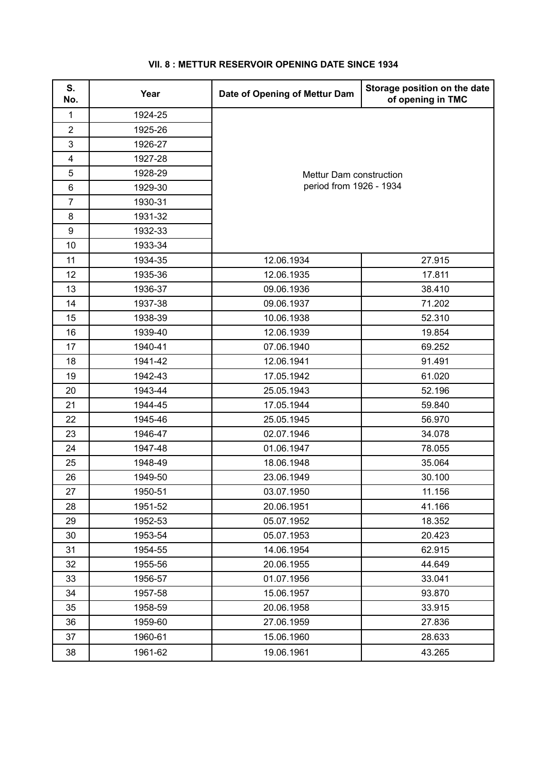| S.<br>No.      | Year    | Date of Opening of Mettur Dam                      | Storage position on the date<br>of opening in TMC |
|----------------|---------|----------------------------------------------------|---------------------------------------------------|
| 1              | 1924-25 |                                                    |                                                   |
| $\overline{2}$ | 1925-26 |                                                    |                                                   |
| $\mathbf{3}$   | 1926-27 | Mettur Dam construction<br>period from 1926 - 1934 |                                                   |
| 4              | 1927-28 |                                                    |                                                   |
| 5              | 1928-29 |                                                    |                                                   |
| $\,6\,$        | 1929-30 |                                                    |                                                   |
| $\overline{7}$ | 1930-31 |                                                    |                                                   |
| 8              | 1931-32 |                                                    |                                                   |
| 9              | 1932-33 |                                                    |                                                   |
| 10             | 1933-34 |                                                    |                                                   |
| 11             | 1934-35 | 12.06.1934                                         | 27.915                                            |
| 12             | 1935-36 | 12.06.1935                                         | 17.811                                            |
| 13             | 1936-37 | 09.06.1936                                         | 38.410                                            |
| 14             | 1937-38 | 09.06.1937                                         | 71.202                                            |
| 15             | 1938-39 | 10.06.1938                                         | 52.310                                            |
| 16             | 1939-40 | 12.06.1939                                         | 19.854                                            |
| 17             | 1940-41 | 07.06.1940                                         | 69.252                                            |
| 18             | 1941-42 | 12.06.1941                                         | 91.491                                            |
| 19             | 1942-43 | 17.05.1942                                         | 61.020                                            |
| 20             | 1943-44 | 25.05.1943                                         | 52.196                                            |
| 21             | 1944-45 | 17.05.1944                                         | 59.840                                            |
| 22             | 1945-46 | 25.05.1945                                         | 56.970                                            |
| 23             | 1946-47 | 02.07.1946                                         | 34.078                                            |
| 24             | 1947-48 | 01.06.1947                                         | 78.055                                            |
| 25             | 1948-49 | 18.06.1948                                         | 35.064                                            |
| 26             | 1949-50 | 23.06.1949                                         | 30.100                                            |
| 27             | 1950-51 | 03.07.1950                                         | 11.156                                            |
| 28             | 1951-52 | 20.06.1951                                         | 41.166                                            |
| 29             | 1952-53 | 05.07.1952                                         | 18.352                                            |
| 30             | 1953-54 | 05.07.1953                                         | 20.423                                            |
| 31             | 1954-55 | 14.06.1954                                         | 62.915                                            |
| 32             | 1955-56 | 20.06.1955                                         | 44.649                                            |
| 33             | 1956-57 | 01.07.1956                                         | 33.041                                            |
| 34             | 1957-58 | 15.06.1957                                         | 93.870                                            |
| 35             | 1958-59 | 20.06.1958                                         | 33.915                                            |
| 36             | 1959-60 | 27.06.1959                                         | 27.836                                            |
| 37             | 1960-61 | 15.06.1960                                         | 28.633                                            |
| 38             | 1961-62 | 19.06.1961                                         | 43.265                                            |

## **VII. 8 : METTUR RESERVOIR OPENING DATE SINCE 1934**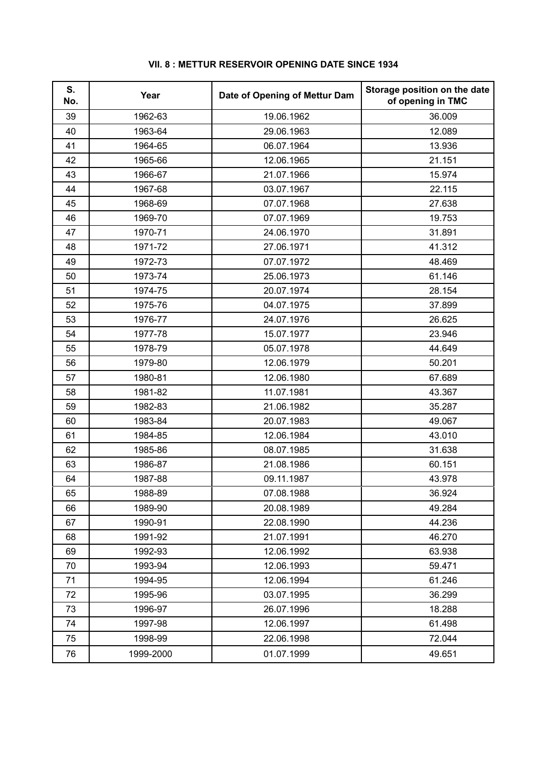| S.<br>No. | Year      | Date of Opening of Mettur Dam | Storage position on the date<br>of opening in TMC |
|-----------|-----------|-------------------------------|---------------------------------------------------|
| 39        | 1962-63   | 19.06.1962                    | 36.009                                            |
| 40        | 1963-64   | 29.06.1963                    | 12.089                                            |
| 41        | 1964-65   | 06.07.1964                    | 13.936                                            |
| 42        | 1965-66   | 12.06.1965                    | 21.151                                            |
| 43        | 1966-67   | 21.07.1966                    | 15.974                                            |
| 44        | 1967-68   | 03.07.1967                    | 22.115                                            |
| 45        | 1968-69   | 07.07.1968                    | 27.638                                            |
| 46        | 1969-70   | 07.07.1969                    | 19.753                                            |
| 47        | 1970-71   | 24.06.1970                    | 31.891                                            |
| 48        | 1971-72   | 27.06.1971                    | 41.312                                            |
| 49        | 1972-73   | 07.07.1972                    | 48.469                                            |
| 50        | 1973-74   | 25.06.1973                    | 61.146                                            |
| 51        | 1974-75   | 20.07.1974                    | 28.154                                            |
| 52        | 1975-76   | 04.07.1975                    | 37.899                                            |
| 53        | 1976-77   | 24.07.1976                    | 26.625                                            |
| 54        | 1977-78   | 15.07.1977                    | 23.946                                            |
| 55        | 1978-79   | 05.07.1978                    | 44.649                                            |
| 56        | 1979-80   | 12.06.1979                    | 50.201                                            |
| 57        | 1980-81   | 12.06.1980                    | 67.689                                            |
| 58        | 1981-82   | 11.07.1981                    | 43.367                                            |
| 59        | 1982-83   | 21.06.1982                    | 35.287                                            |
| 60        | 1983-84   | 20.07.1983                    | 49.067                                            |
| 61        | 1984-85   | 12.06.1984                    | 43.010                                            |
| 62        | 1985-86   | 08.07.1985                    | 31.638                                            |
| 63        | 1986-87   | 21.08.1986                    | 60.151                                            |
| 64        | 1987-88   | 09.11.1987                    | 43.978                                            |
| 65        | 1988-89   | 07.08.1988                    | 36.924                                            |
| 66        | 1989-90   | 20.08.1989                    | 49.284                                            |
| 67        | 1990-91   | 22.08.1990                    | 44.236                                            |
| 68        | 1991-92   | 21.07.1991                    | 46.270                                            |
| 69        | 1992-93   | 12.06.1992                    | 63.938                                            |
| 70        | 1993-94   | 12.06.1993                    | 59.471                                            |
| 71        | 1994-95   | 12.06.1994                    | 61.246                                            |
| 72        | 1995-96   | 03.07.1995                    | 36.299                                            |
| 73        | 1996-97   | 26.07.1996                    | 18.288                                            |
| 74        | 1997-98   | 12.06.1997                    | 61.498                                            |
| 75        | 1998-99   | 22.06.1998                    | 72.044                                            |
| 76        | 1999-2000 | 01.07.1999                    | 49.651                                            |

## **VII. 8 : METTUR RESERVOIR OPENING DATE SINCE 1934**